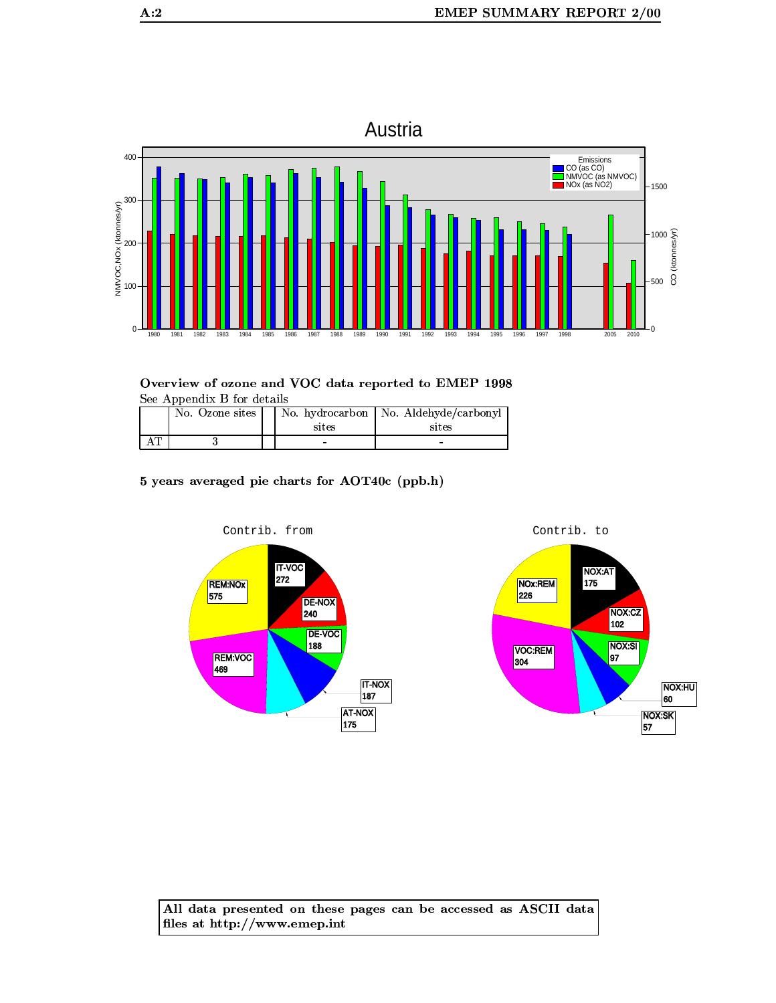

| No. Ozone sites | sites | No. hydrocarbon   No. Aldehyde/carbonyl<br>sites |
|-----------------|-------|--------------------------------------------------|
|                 | -     |                                                  |

5 years averaged pie charts for AOT40c (ppb.h)



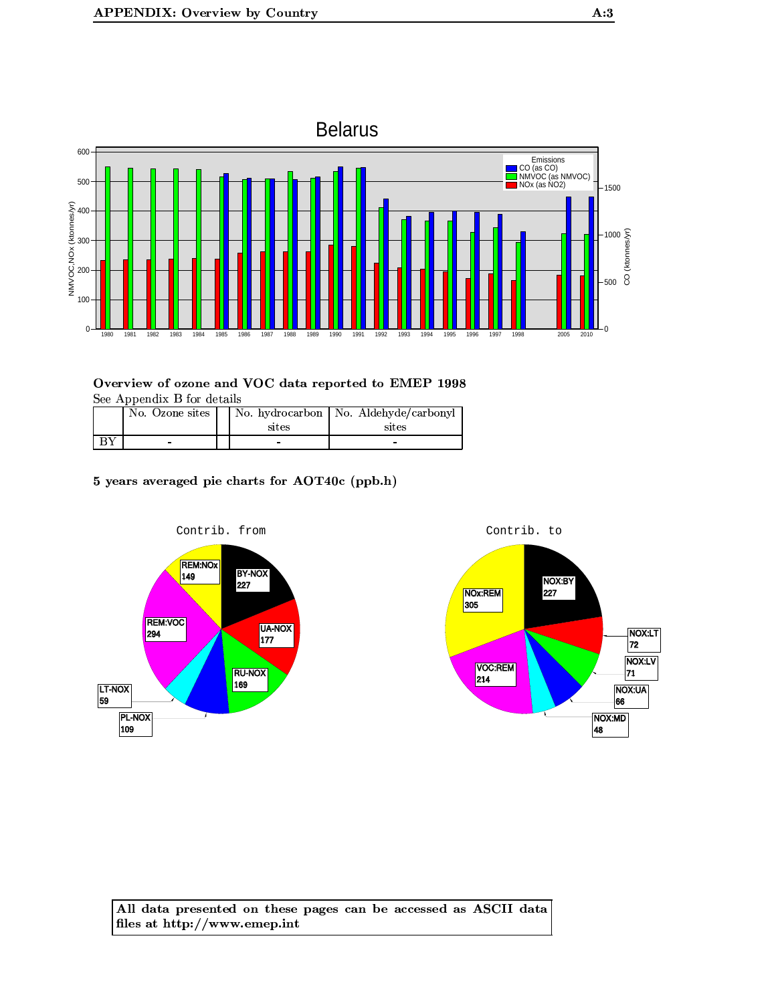

| No. Ozone sites | sites | No. hydrocarbon   No. Aldehyde/carbonyl<br>sites |
|-----------------|-------|--------------------------------------------------|
|                 |       | -                                                |

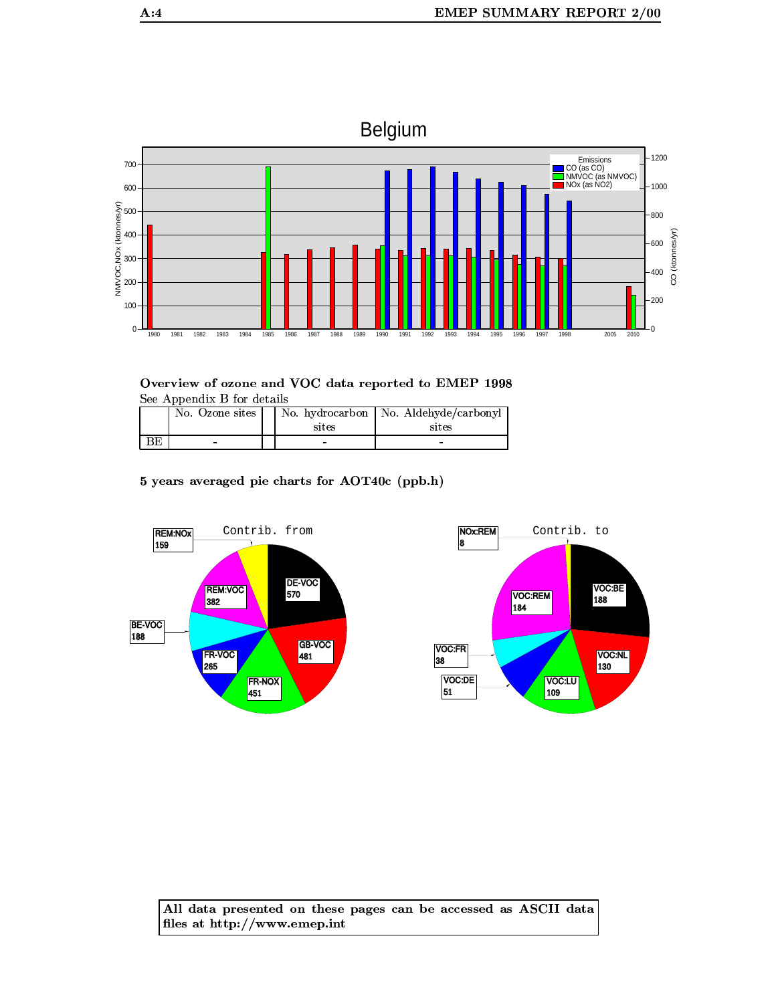

Overview of ozone and VOC data reported to EMEP 1998 See Appendix B for details

|    | No. Ozone sites | sites | No. hydrocarbon   No. Aldehyde/carbonyl  <br>sites |
|----|-----------------|-------|----------------------------------------------------|
| ВE | -               | -     |                                                    |

5 years averaged pie charts for AOT40c (ppb.h)



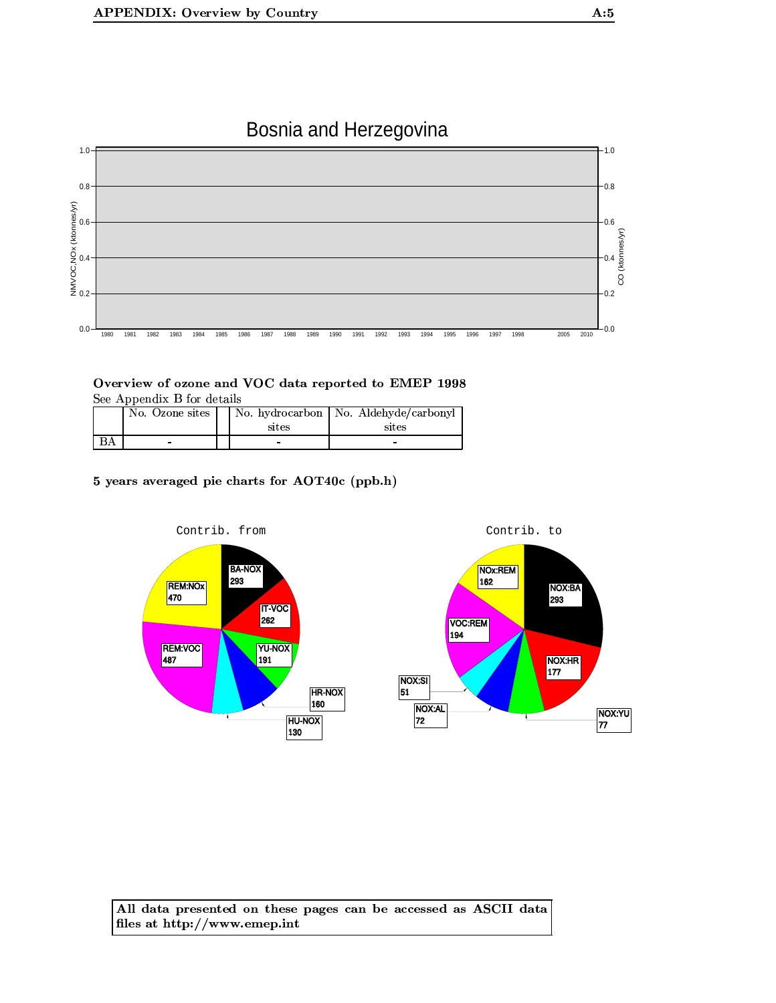



| No. Ozone sites | sites | No. hydrocarbon   No. Aldehyde/carbonyl<br>sites |
|-----------------|-------|--------------------------------------------------|
| -               | -     | -                                                |

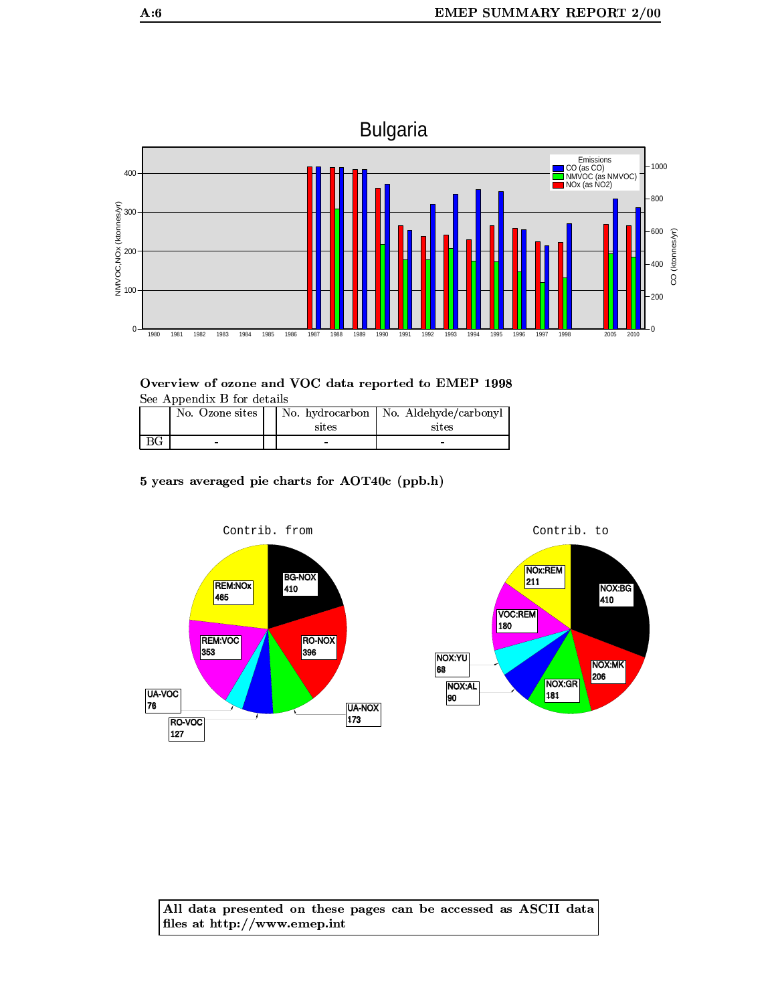

Overview of ozone and VOC data reported to EMEP 1998 See Appendix B for details

|    | No. Ozone sites |       | No. hydrocarbon   No. Aldehyde/carbonyl |
|----|-----------------|-------|-----------------------------------------|
|    |                 | sites | sites                                   |
| ВG | -               | -     |                                         |

5 years averaged pie charts for AOT40c (ppb.h)



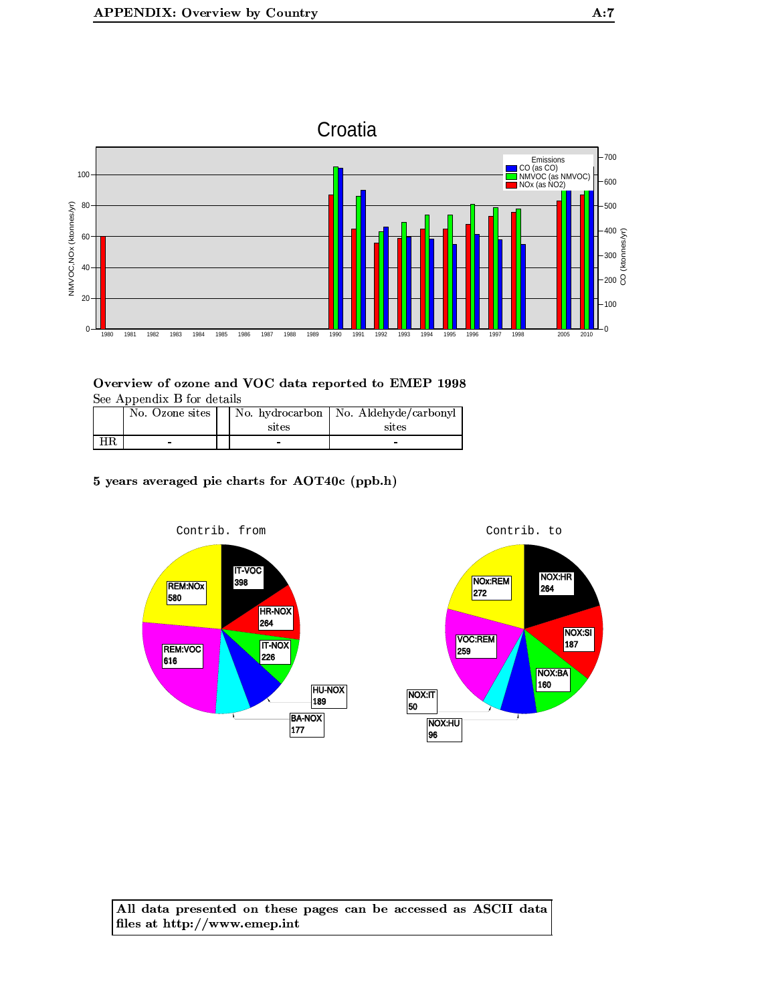

|     | No. Ozone sites | sites | No. hydrocarbon   No. Aldehyde/carbonyl<br>sites |
|-----|-----------------|-------|--------------------------------------------------|
| HR. | -               | -     | -                                                |

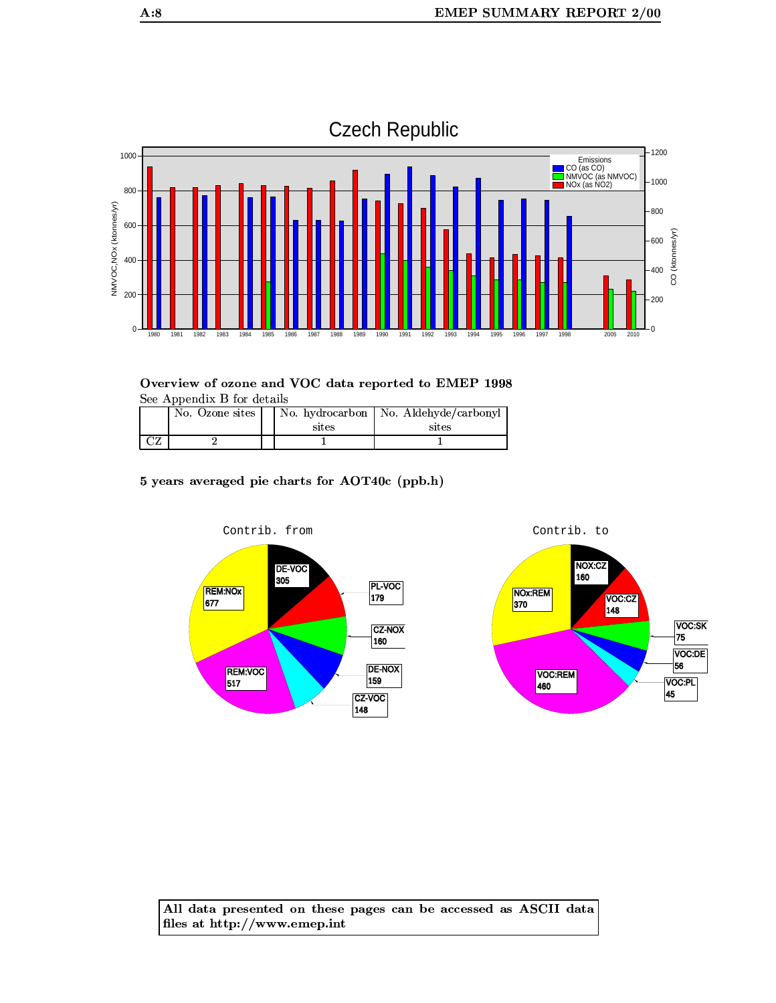

|             | No. Ozone sites |       | No. hydrocarbon   No. Aldehyde/carbonyl |
|-------------|-----------------|-------|-----------------------------------------|
|             |                 | sites | sites                                   |
| $\sqrt{27}$ |                 |       |                                         |

5 years averaged pie charts for AOT40c (ppb.h)



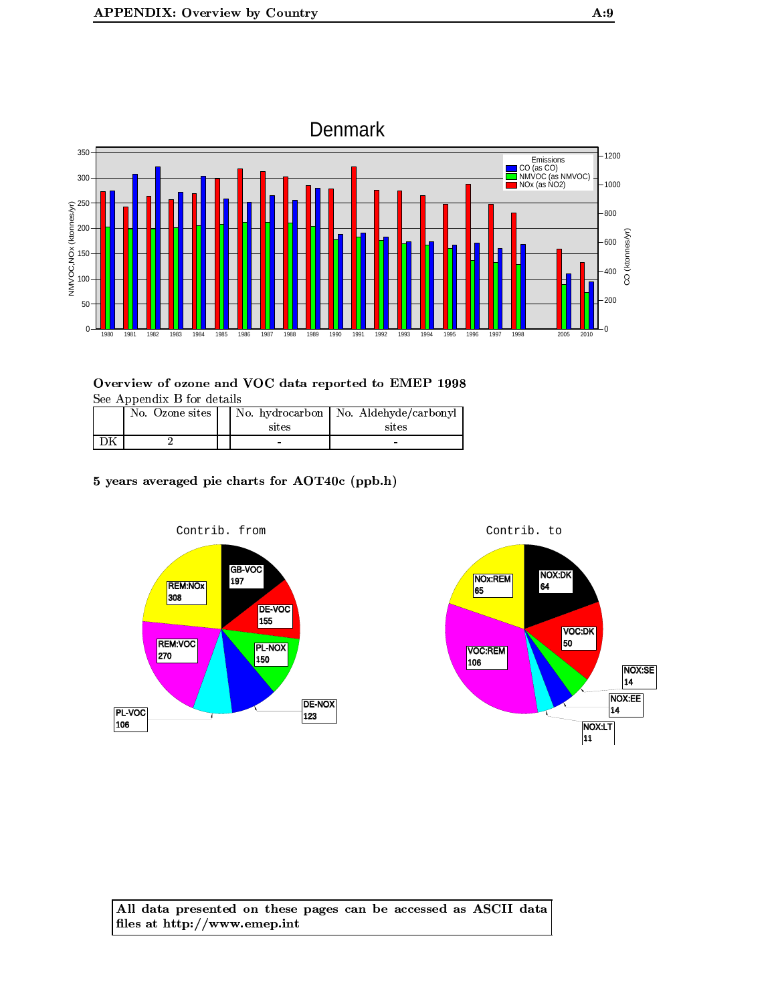

| No. Ozone sites | sites | No. hydrocarbon   No. Aldehyde/carbonyl<br>sites |
|-----------------|-------|--------------------------------------------------|
|                 |       | $\overline{\phantom{0}}$                         |

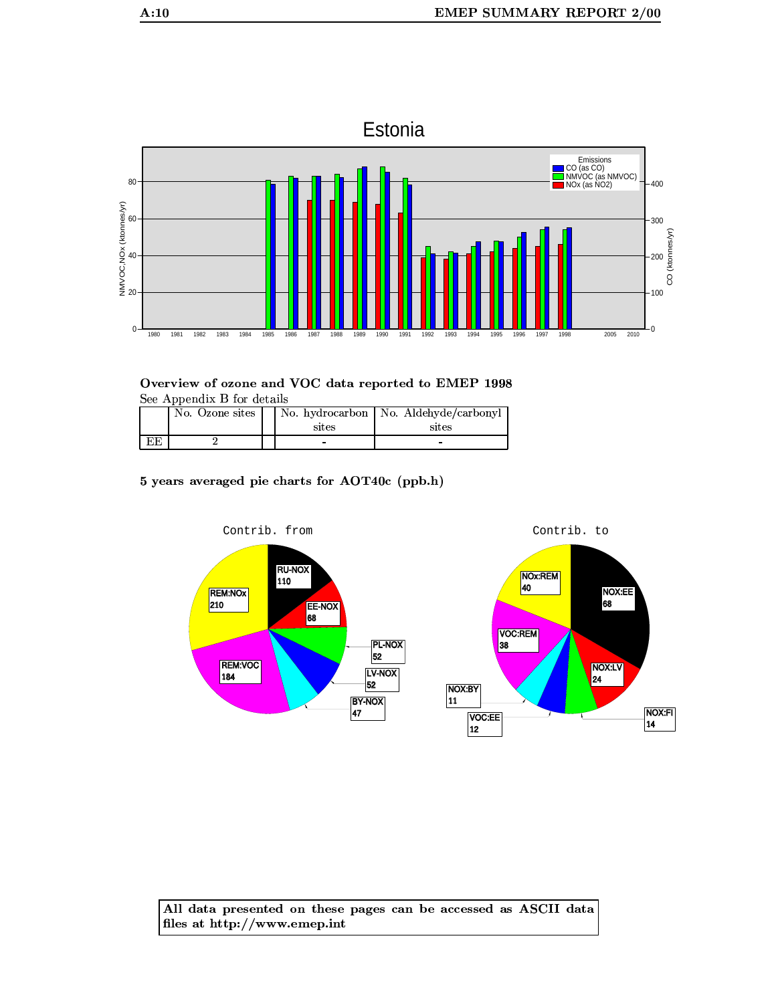

Overview of ozone and VOC data reported to EMEP 1998 See Appendix B for details

|    | No. Ozone sites | sites | No. hydrocarbon   No. Aldehyde/carbonyl<br>sites |
|----|-----------------|-------|--------------------------------------------------|
| EE |                 |       |                                                  |

5 years averaged pie charts for AOT40c (ppb.h)

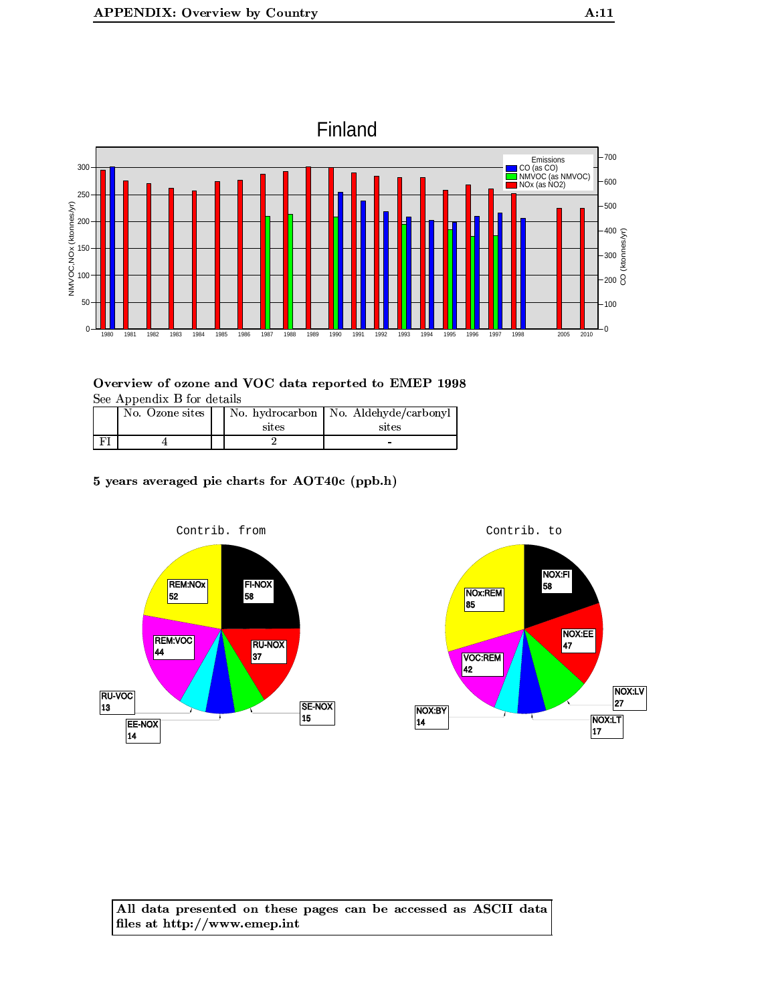

| No. Ozone sites | sites | No. hydrocarbon   No. Aldehyde/carbonyl<br>sites |
|-----------------|-------|--------------------------------------------------|
|                 |       |                                                  |

5 years averaged pie charts for AOT40c (ppb.h)



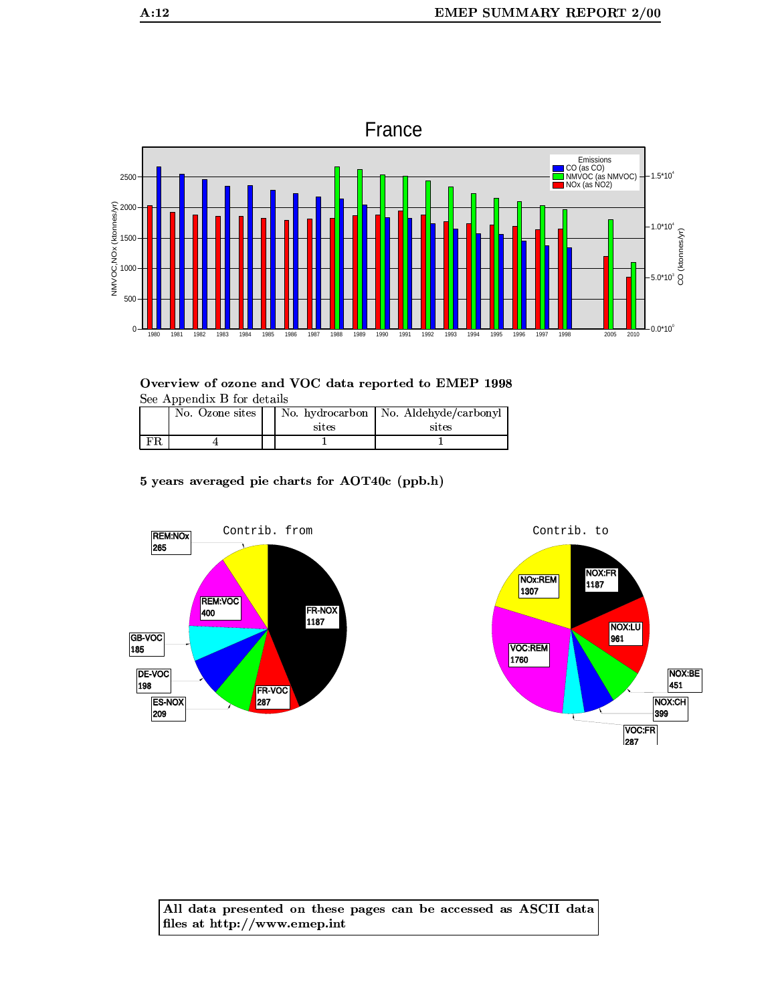

|    | No. Ozone sites | sites | No. hydrocarbon   No. Aldehyde/carbonyl<br>sites |
|----|-----------------|-------|--------------------------------------------------|
| FR |                 |       |                                                  |

5 years averaged pie charts for AOT40c (ppb.h)

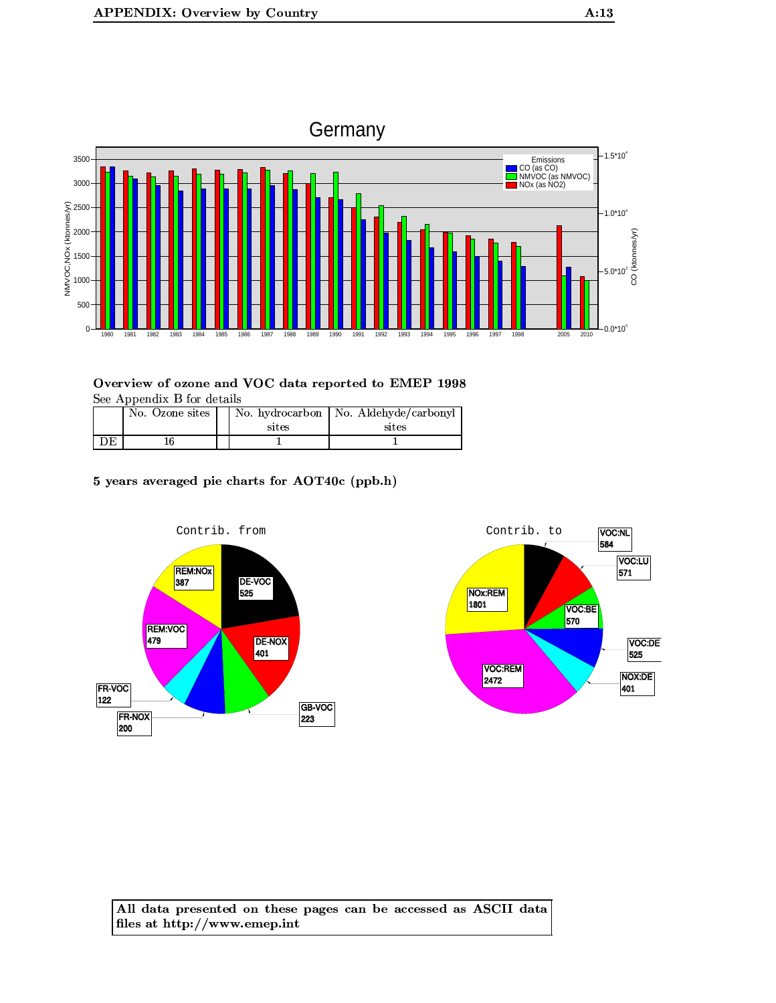

|    | No. Ozone sites | sites | No. hydrocarbon   No. Aldehyde/carbonyl<br>sites |
|----|-----------------|-------|--------------------------------------------------|
| DE |                 |       |                                                  |

5 years averaged pie charts for AOT40c (ppb.h)



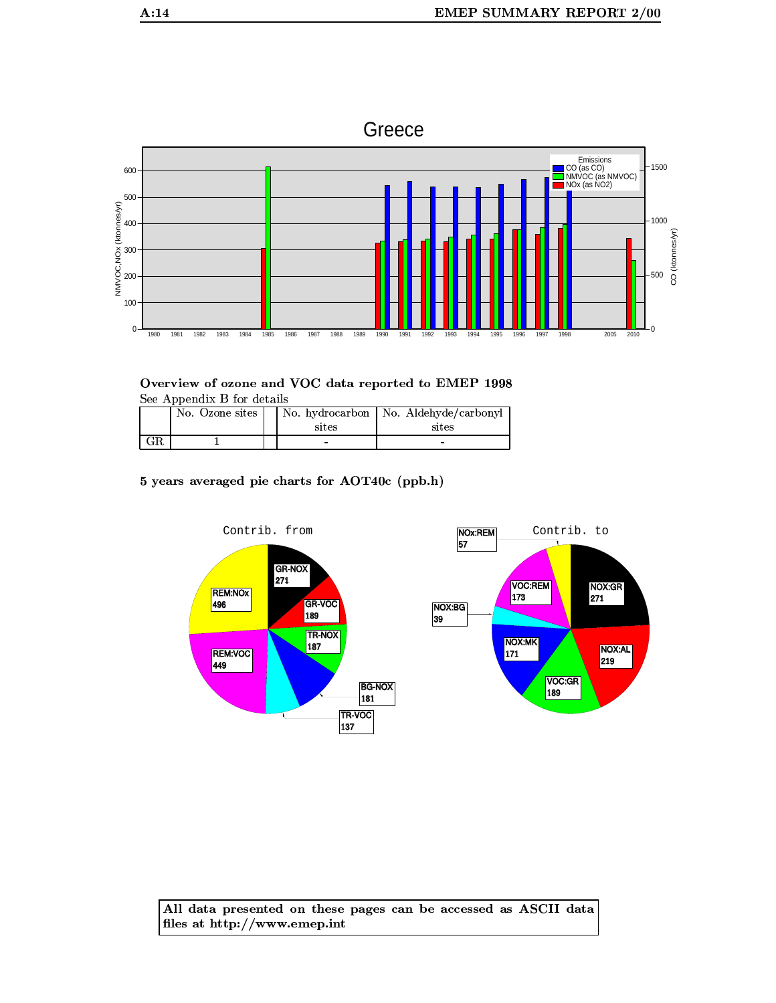

Overview of ozone and VOC data reported to EMEP 1998 See Appendix B for details

| No. Ozone sites | sites | No. hydrocarbon   No. Aldehyde/carbonyl  <br>sites |
|-----------------|-------|----------------------------------------------------|
|                 | -     |                                                    |

5 years averaged pie charts for AOT40c (ppb.h)

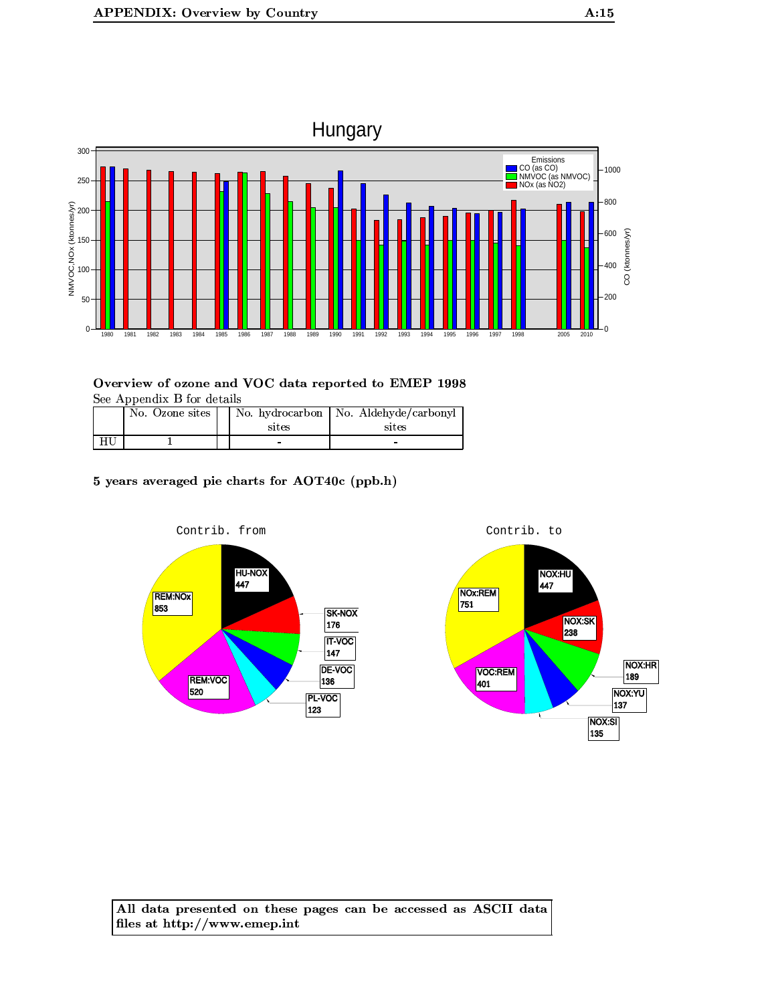

| No. Ozone sites | sites | No. hydrocarbon   No. Aldehyde/carbonyl<br>sites |
|-----------------|-------|--------------------------------------------------|
|                 | -     | -                                                |

# 5 years averaged pie charts for AOT40c (ppb.h)

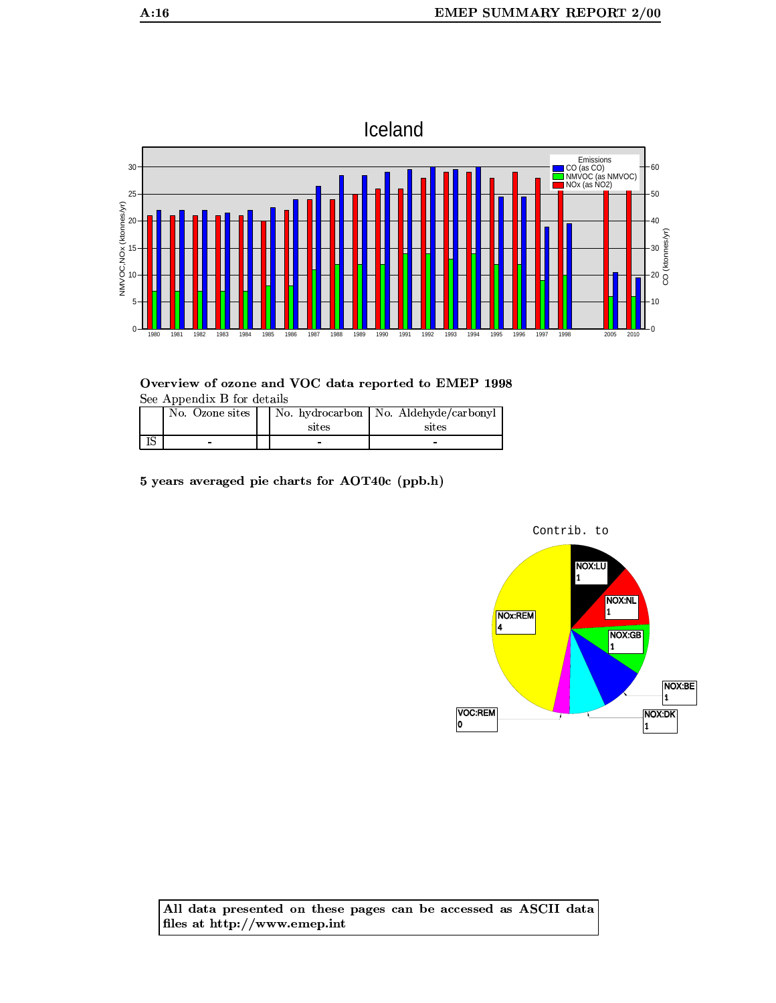

Overview of ozone and VOC data reported to EMEP 1998 See Appendix B for details

| No. Ozone sites | sites  | No. hydrocarbon   No. Aldehyde/carbonyl  <br>sites |
|-----------------|--------|----------------------------------------------------|
| -               | $\sim$ | -                                                  |

5 years averaged pie charts for AOT40c (ppb.h)

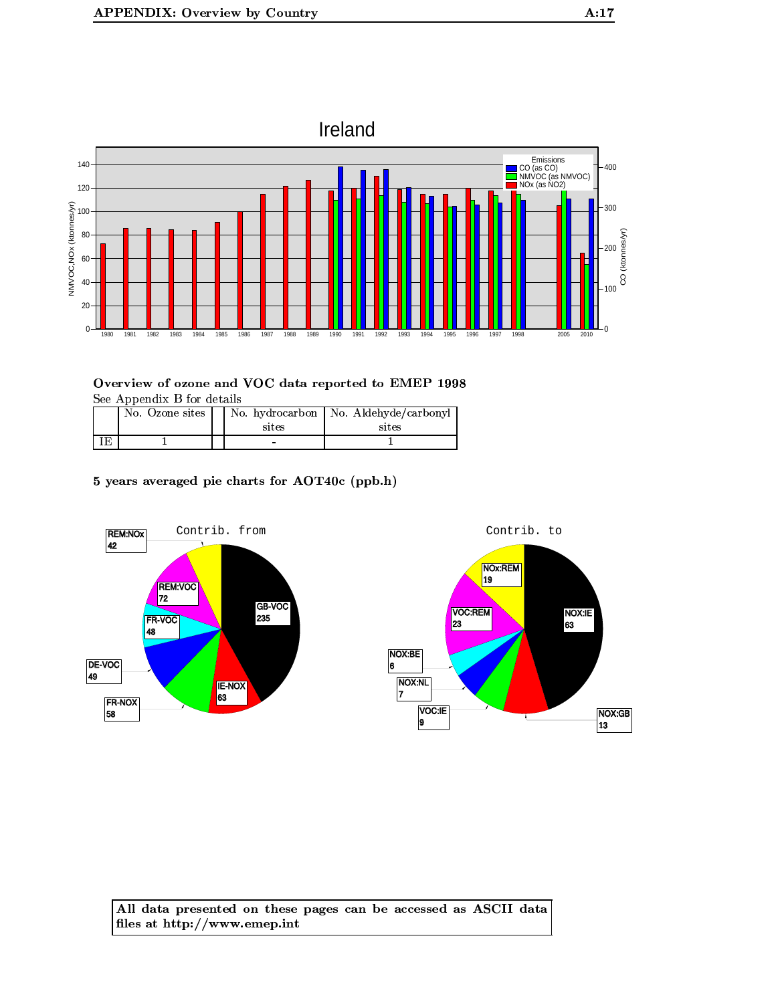

|    | No. Ozone sites | sites | No. hydrocarbon   No. Aldehyde/carbonyl<br>sites |
|----|-----------------|-------|--------------------------------------------------|
| ΙE |                 |       |                                                  |

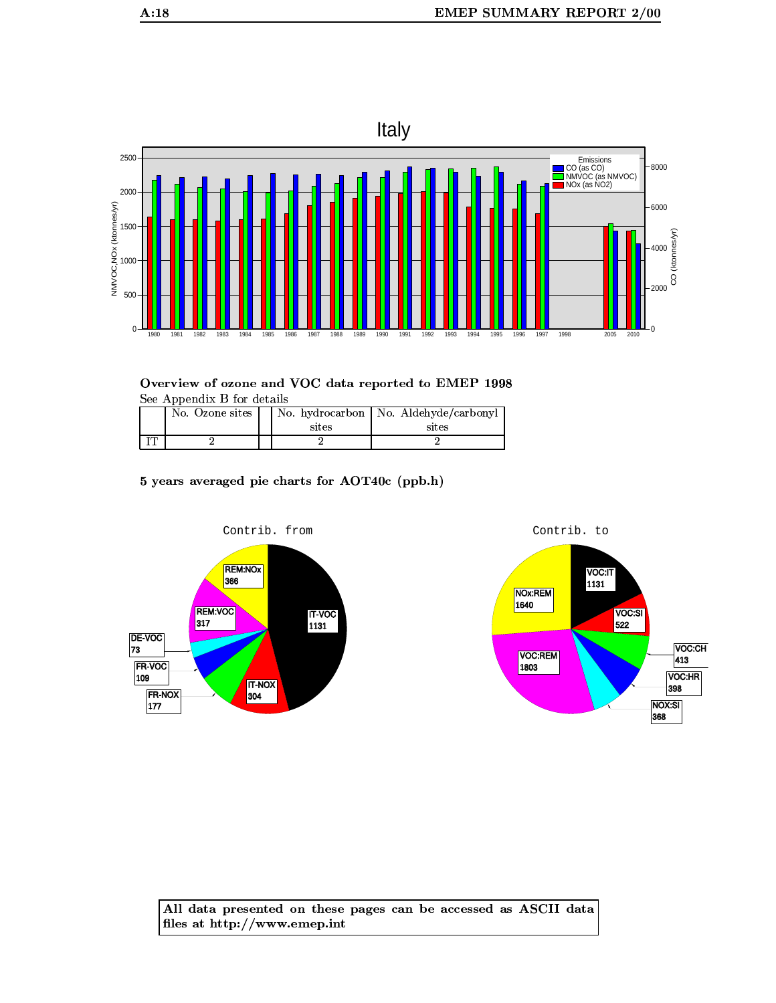

Overview of ozone and VOC data reported to EMEP 1998 See Appendix B for details

| No. Ozone sites | sites | No. hydrocarbon   No. Aldehyde/carbonyl<br>sites |
|-----------------|-------|--------------------------------------------------|
|                 |       |                                                  |

5 years averaged pie charts for AOT40c (ppb.h)



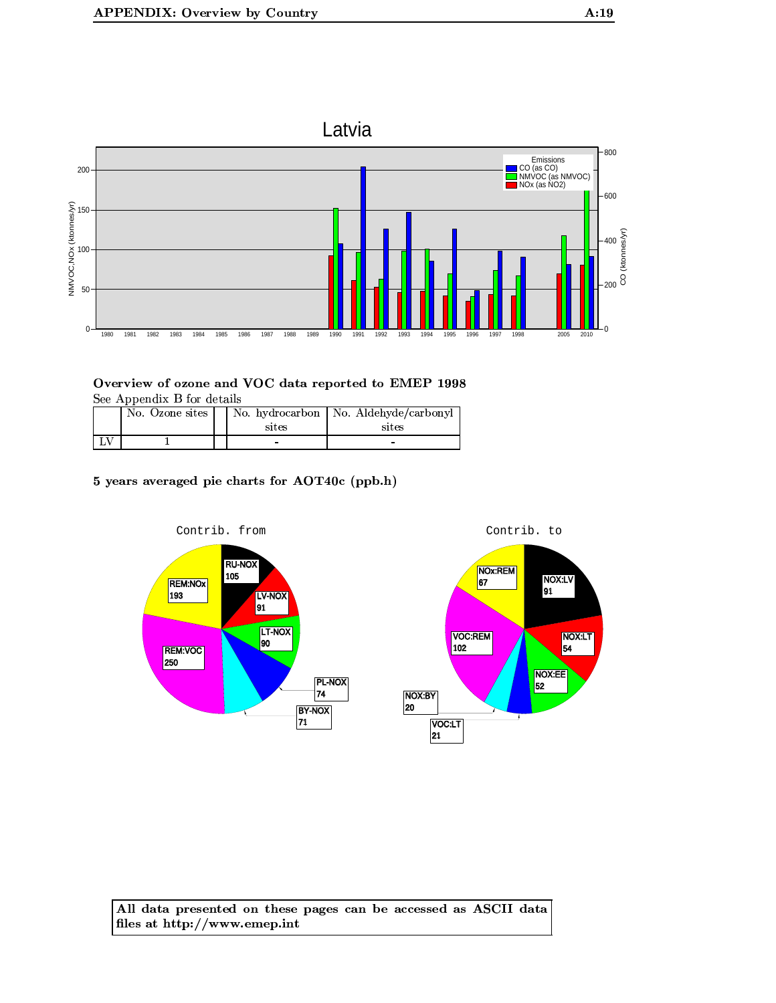$\mathbf{0}$ 



Overview of ozone and VOC data reported to EMEP 1998 See Appendix B for details

| $500$ $1500$ $150$ $101$ $101$ $100$ $100$ |  |       |                                         |  |  |
|--------------------------------------------|--|-------|-----------------------------------------|--|--|
| No. Ozone sites                            |  |       | No. hydrocarbon   No. Aldehyde/carbonyl |  |  |
|                                            |  | sites | sites                                   |  |  |
|                                            |  | -     |                                         |  |  |

5 years averaged pie charts for AOT40c (ppb.h)



All data presented on these pages can be accessed as ASCII data files at http://www.emep.int

 $-0$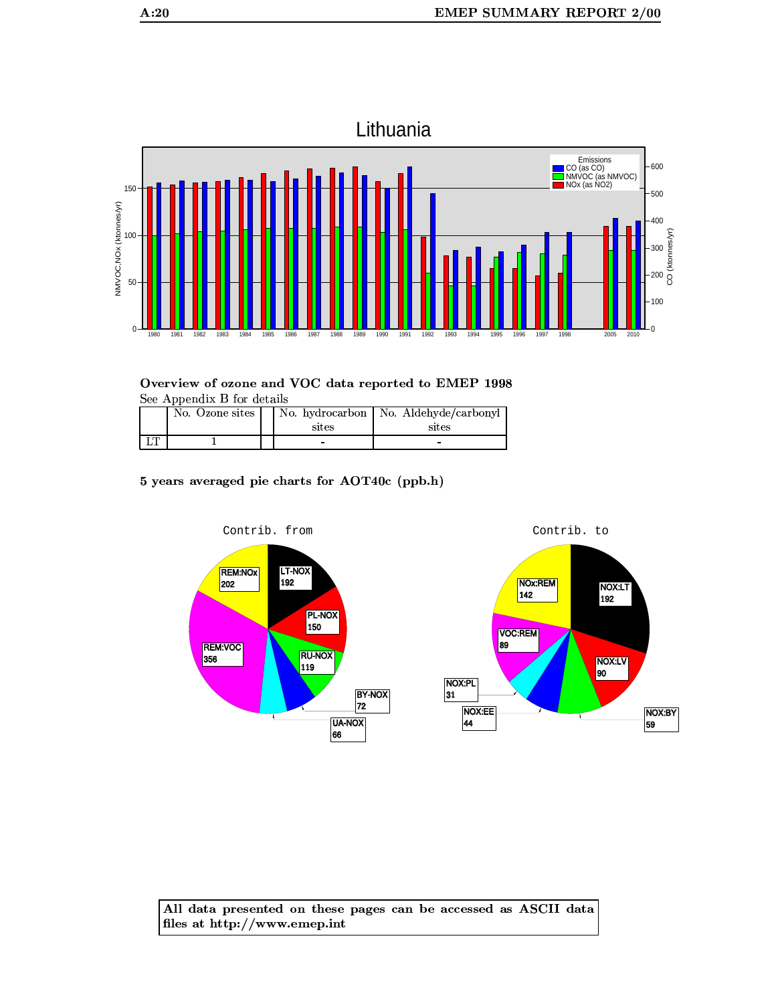



| No. Ozone sites | sites | No. hydrocarbon   No. Aldehyde/carbonyl<br>sites |
|-----------------|-------|--------------------------------------------------|
|                 | -     |                                                  |

5 years averaged pie charts for AOT40c (ppb.h)

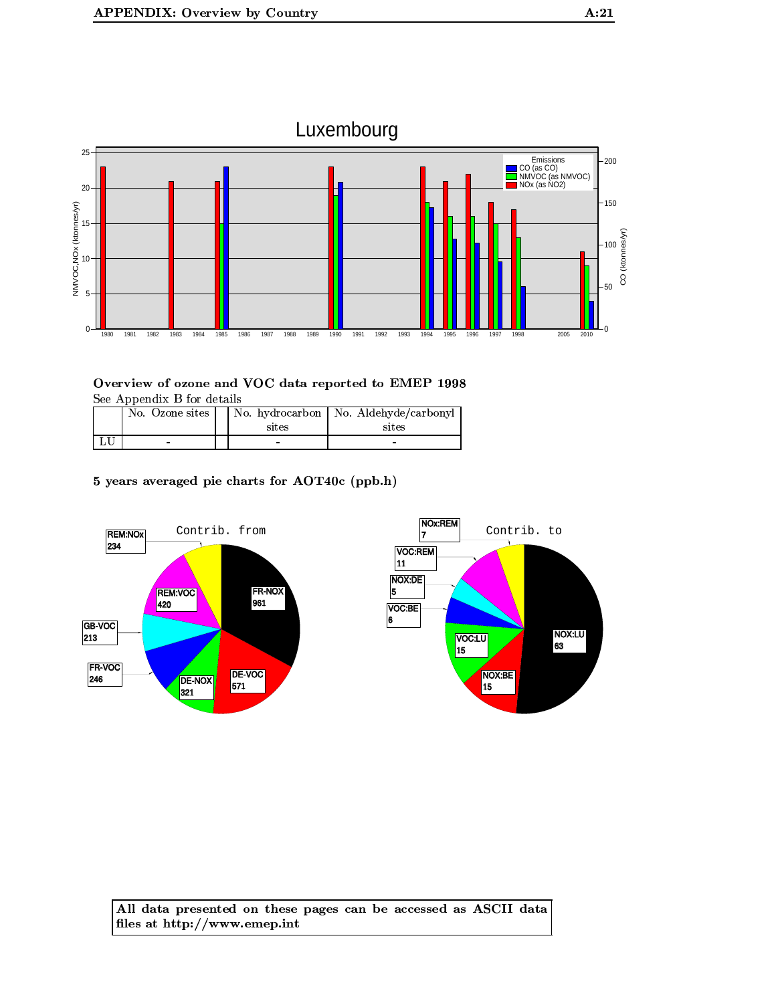

| No. Ozone sites | sites | No. hydrocarbon   No. Aldehyde/carbonyl<br>sites |
|-----------------|-------|--------------------------------------------------|
|                 | -     | -                                                |

5 years averaged pie charts for AOT40c (ppb.h)



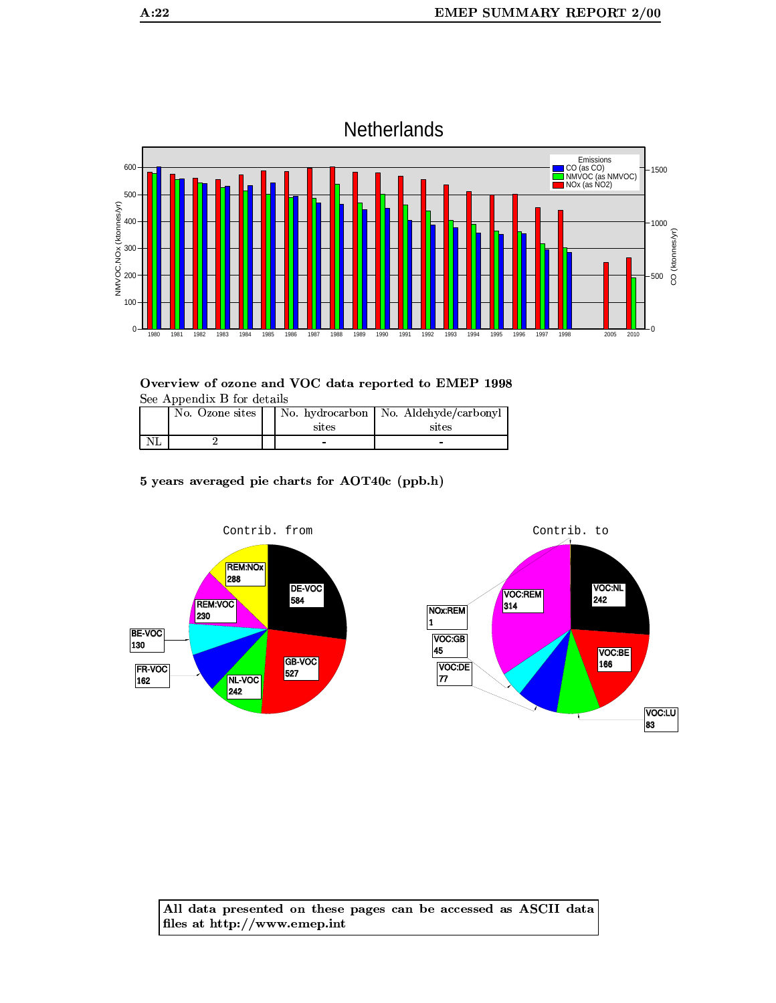

| No. Ozone sites | sites | No. hydrocarbon   No. Aldehyde/carbonyl<br>sites |
|-----------------|-------|--------------------------------------------------|
|                 |       |                                                  |

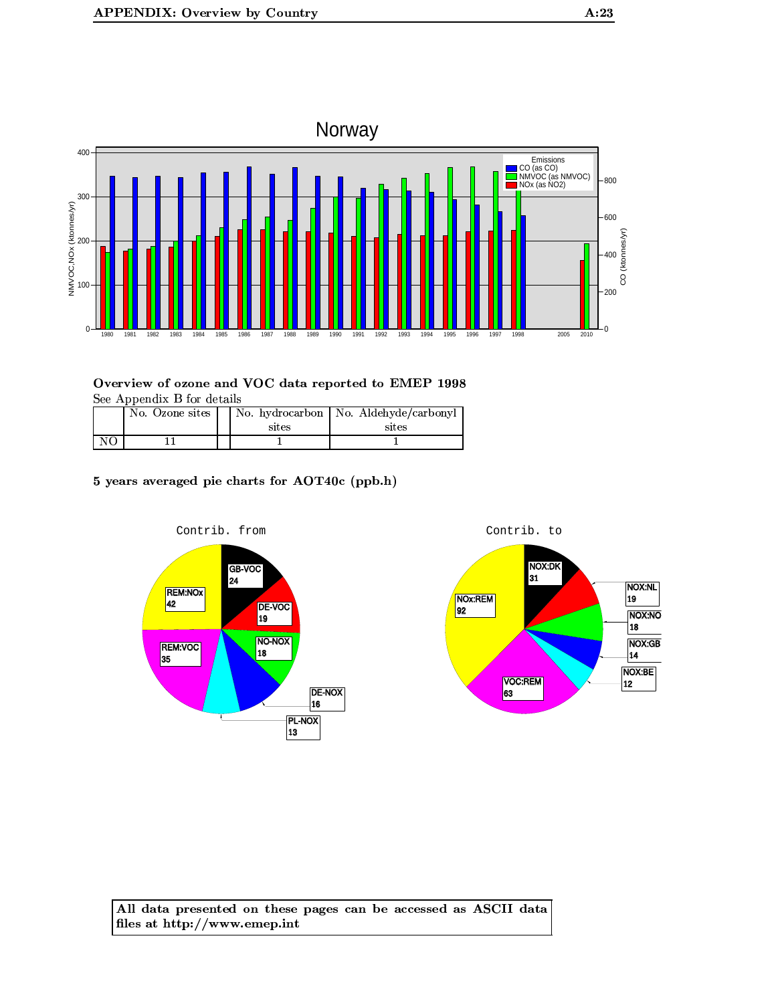

| No. Ozone sites | sites | No. hydrocarbon   No. Aldehyde/carbonyl<br>sites |
|-----------------|-------|--------------------------------------------------|
|                 |       |                                                  |

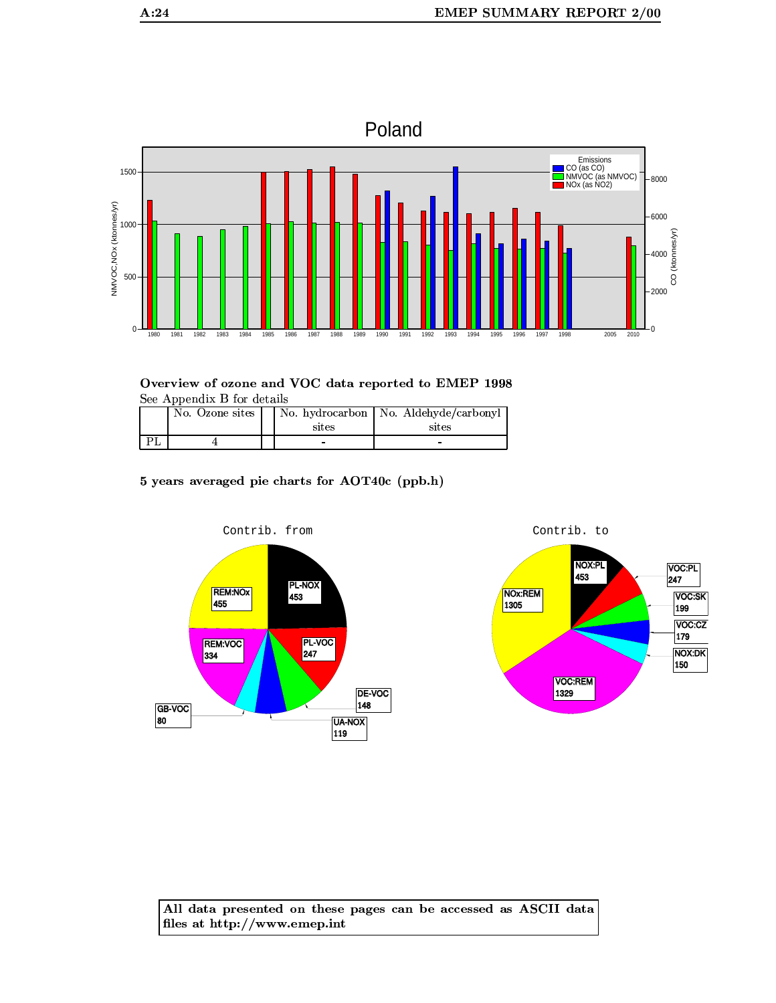

| No. Ozone sites | sites | No. hydrocarbon   No. Aldehyde/carbonyl<br>sites |
|-----------------|-------|--------------------------------------------------|
|                 | -     |                                                  |

5 years averaged pie charts for AOT40c (ppb.h)



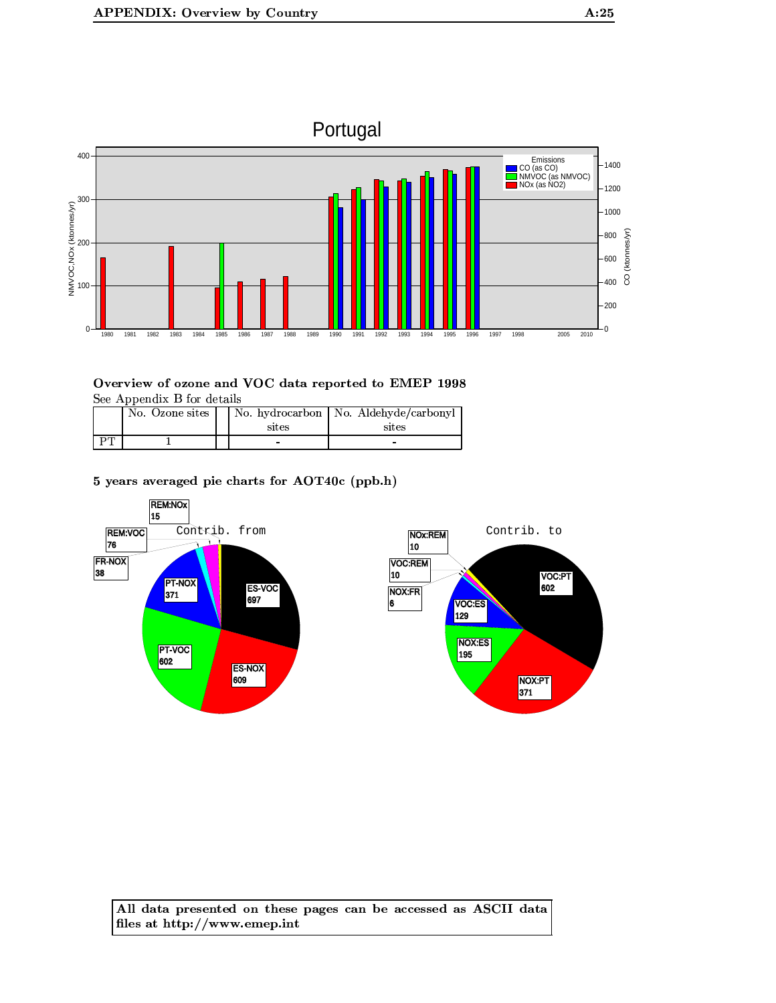

| No. Ozone sites | sites | No. hydrocarbon   No. Aldehyde/carbonyl<br>sites |
|-----------------|-------|--------------------------------------------------|
|                 |       |                                                  |

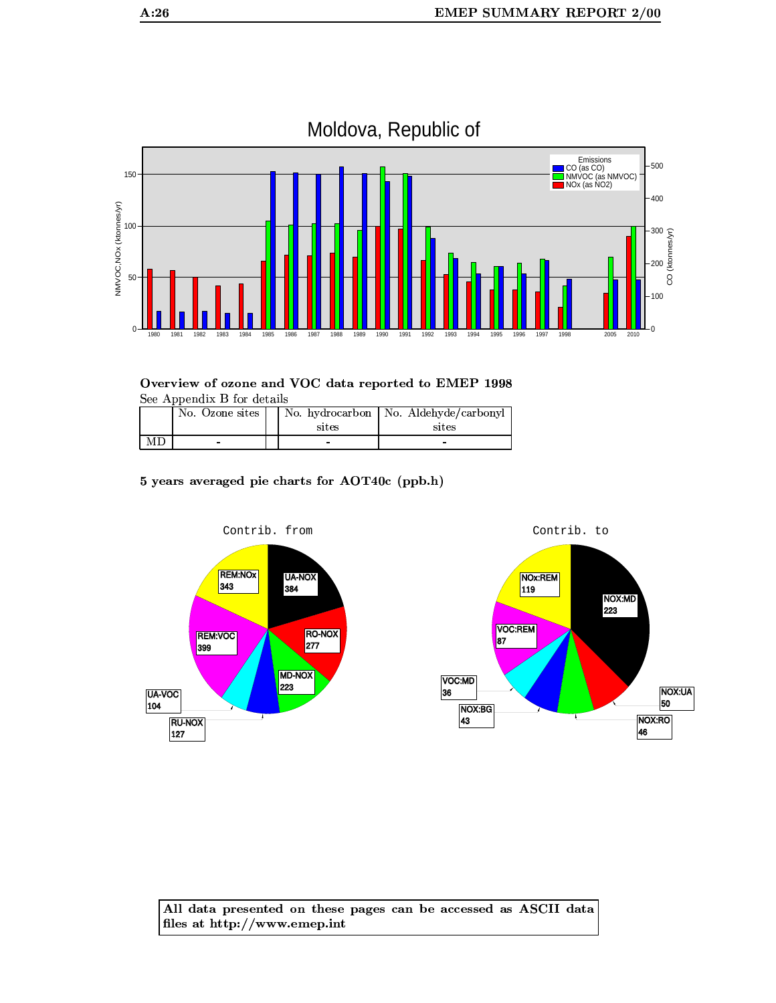

# Moldova, Republic of

Overview of ozone and VOC data reported to EMEP 1998 See Appendix B for details

|    | No. Ozone sites |       | No. hydrocarbon   No. Aldehyde/carbonyl |
|----|-----------------|-------|-----------------------------------------|
|    |                 | sites | sites                                   |
| МD |                 |       |                                         |

5 years averaged pie charts for AOT40c (ppb.h)

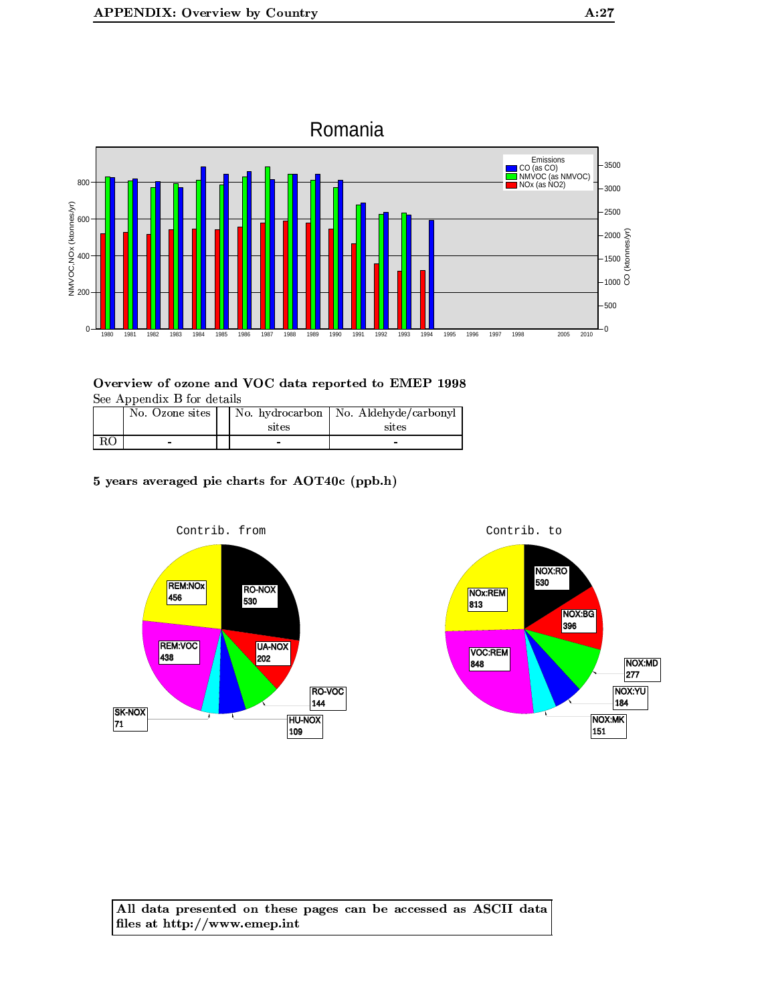

|    | No. Ozone sites | No. hydrocarbon<br>sites | No. Aldehyde/carbonyl<br>sites |
|----|-----------------|--------------------------|--------------------------------|
| RO |                 |                          |                                |

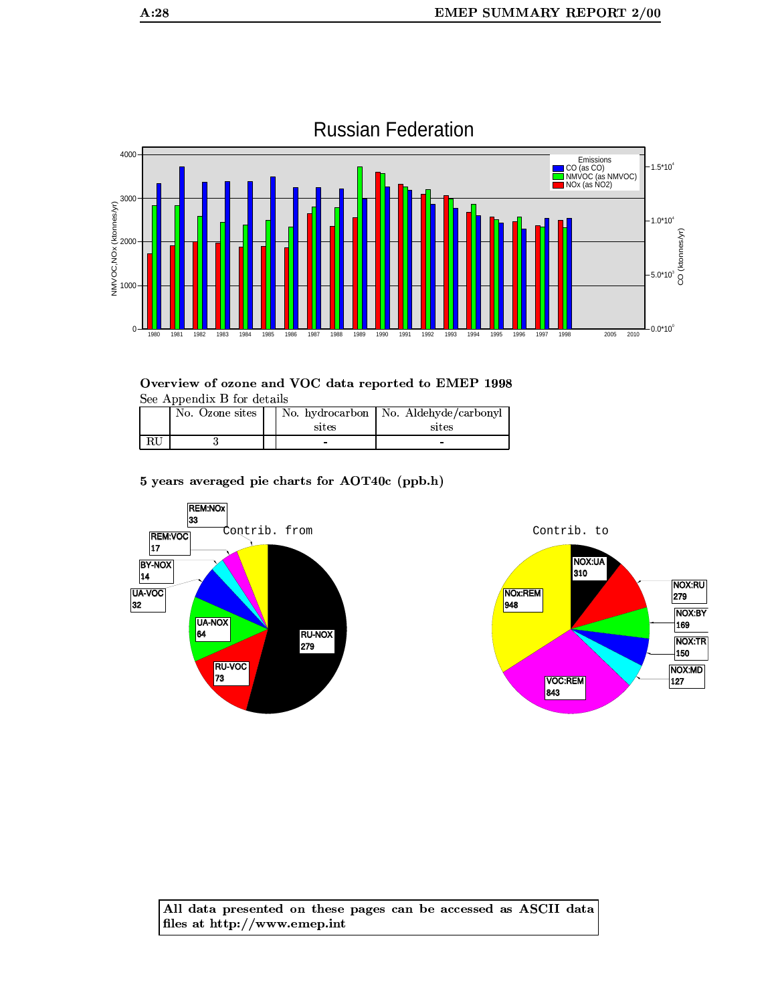

# **Russian Federation**

Overview of ozone and VOC data reported to EMEP 1998 See Appendix B for details

| No. Ozone sites | sites | No. hydrocarbon   No. Aldehyde/carbonyl<br>sites |
|-----------------|-------|--------------------------------------------------|
|                 |       |                                                  |

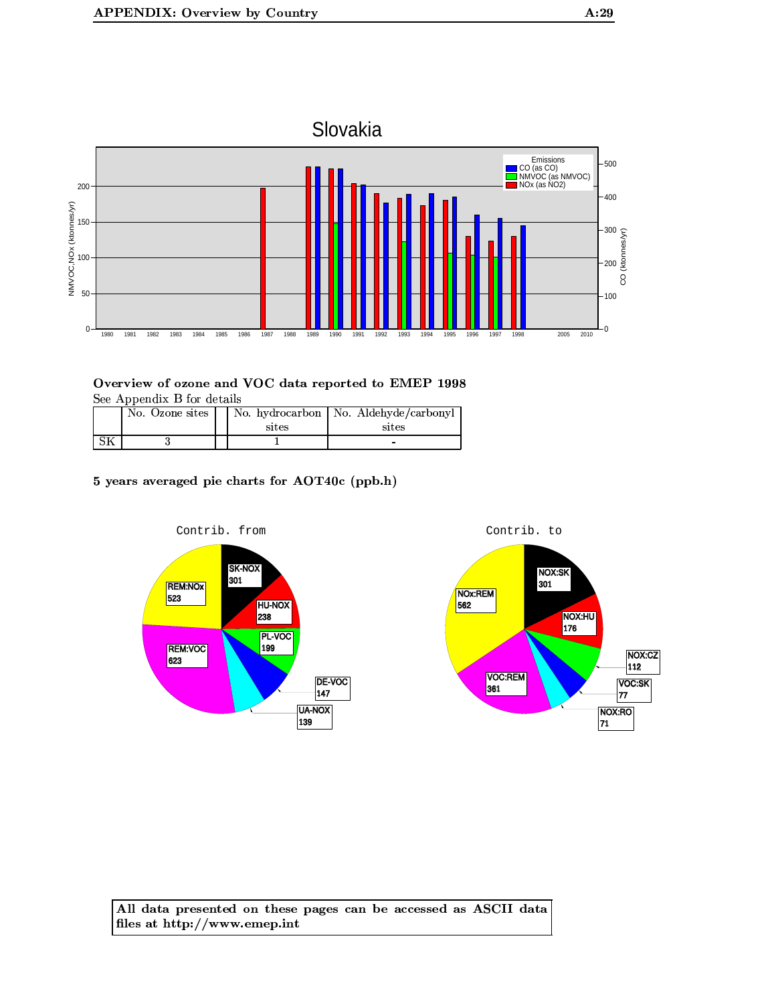



| No. Ozone sites | sites | No. hydrocarbon   No. Aldehyde/carbonyl<br>sites |
|-----------------|-------|--------------------------------------------------|
|                 |       | -                                                |

5 years averaged pie charts for AOT40c (ppb.h)

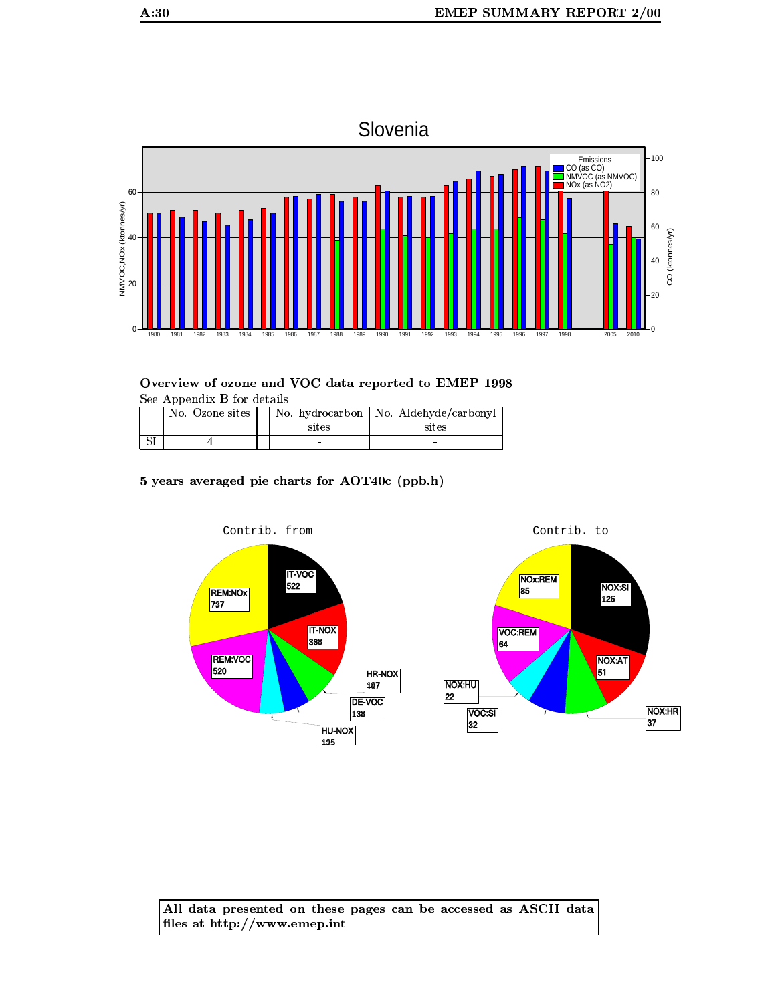

|    | No. Ozone sites | sites | No. hydrocarbon   No. Aldehyde/carbonyl<br>sites |
|----|-----------------|-------|--------------------------------------------------|
| ΩI |                 |       |                                                  |

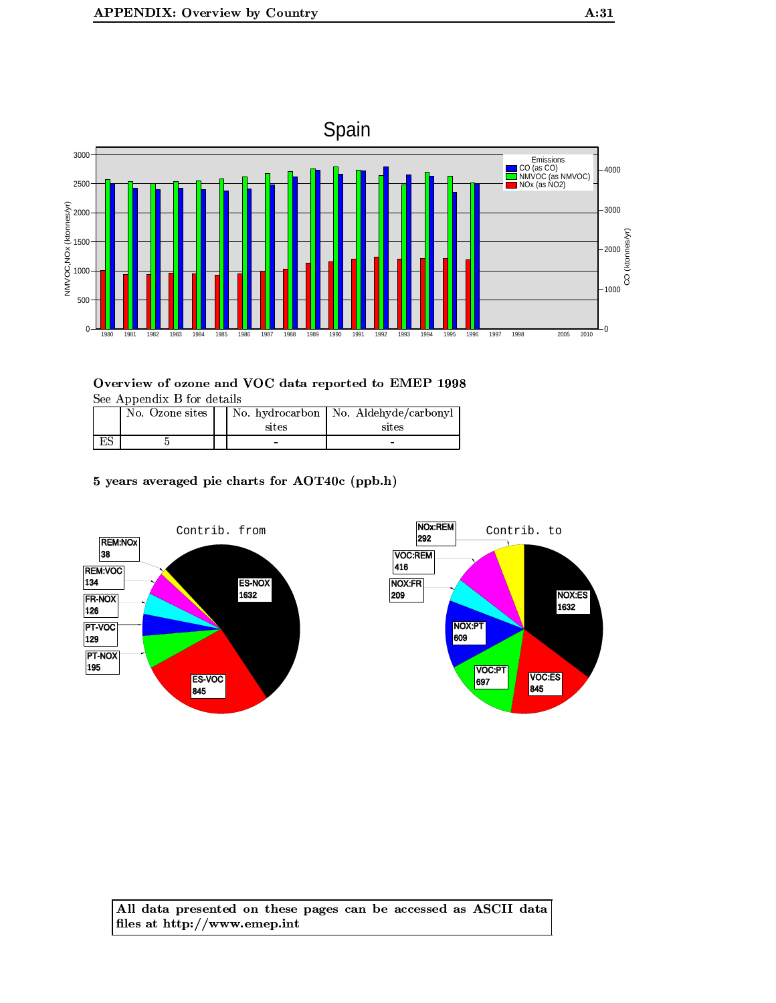

|    | No. Ozone sites | sites | No. hydrocarbon   No. Aldehyde/carbonyl<br>sites |
|----|-----------------|-------|--------------------------------------------------|
| ES |                 |       | -                                                |

5 years averaged pie charts for AOT40c (ppb.h)



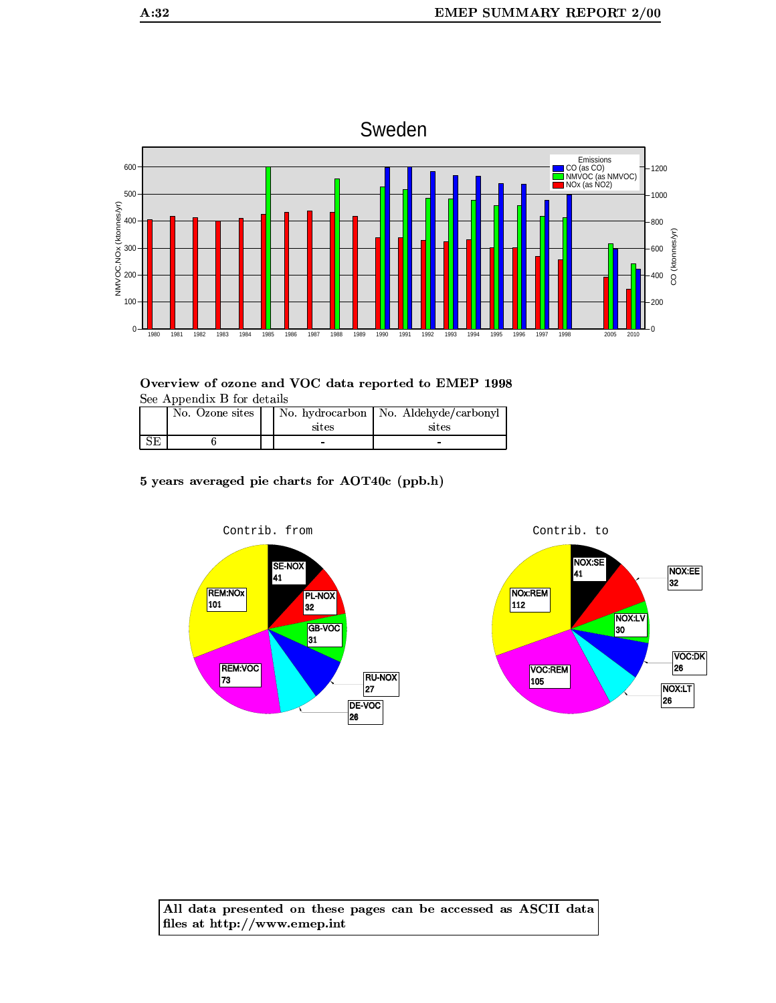

1989

Overview of ozone and VOC data reported to EMEP 1998 See Appendix B for details

|           | No. Ozone sites | sites | No. hydrocarbon   No. Aldehyde/carbonyl<br>sites |
|-----------|-----------------|-------|--------------------------------------------------|
| <b>CT</b> |                 | -     |                                                  |

5 years averaged pie charts for AOT40c (ppb.h)

1986

1987 1988

1984 1985





CO (ktonnes/yr)

400

200

 $\Omega$ 

2010

All data presented on these pages can be accessed as ASCII data files at http://www.emep.int

100

 $\mathbf 0$ 

1980 1981 1982 1983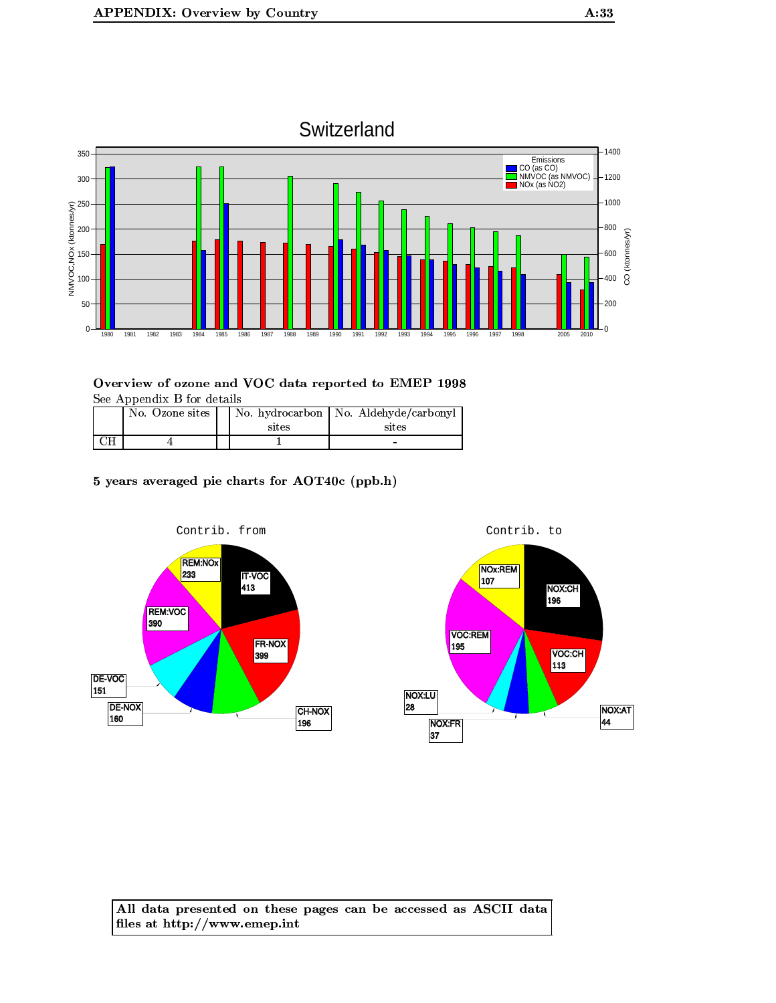

| No. Ozone sites | sites | No. hydrocarbon   No. Aldehyde/carbonyl<br>sites |
|-----------------|-------|--------------------------------------------------|
|                 |       | $\overline{\phantom{0}}$                         |

# 5 years averaged pie charts for AOT40c (ppb.h)



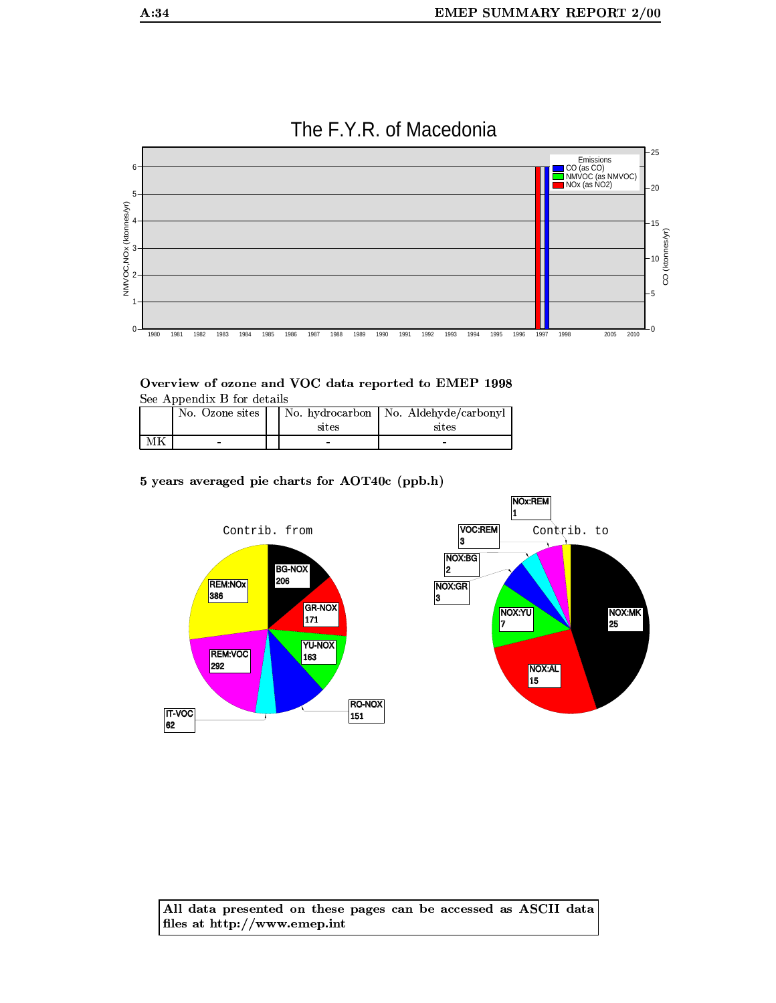

# The F.Y.R. of Macedonia

#### Overview of ozone and VOC data reported to EMEP 1998 See Appendix B for details

|    | poo <i>h</i> pondhi p for docalle |  |       |                                         |  |  |
|----|-----------------------------------|--|-------|-----------------------------------------|--|--|
|    | No. Ozone sites                   |  |       | No. hydrocarbon   No. Aldehyde/carbonyl |  |  |
|    |                                   |  | sites | sites                                   |  |  |
| ΜК | -                                 |  |       |                                         |  |  |

#### 5 years averaged pie charts for AOT40c (ppb.h)

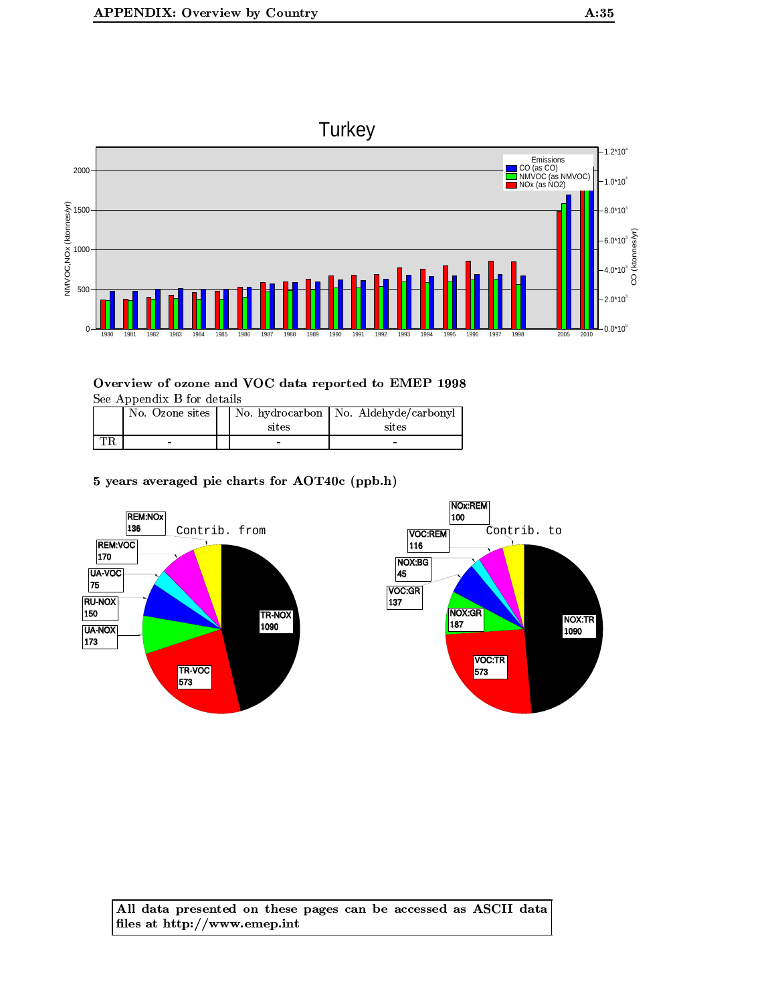



| No. Ozone sites | sites | No. hydrocarbon   No. Aldehyde/carbonyl<br>sites |
|-----------------|-------|--------------------------------------------------|
|                 |       |                                                  |

5 years averaged pie charts for AOT40c (ppb.h)

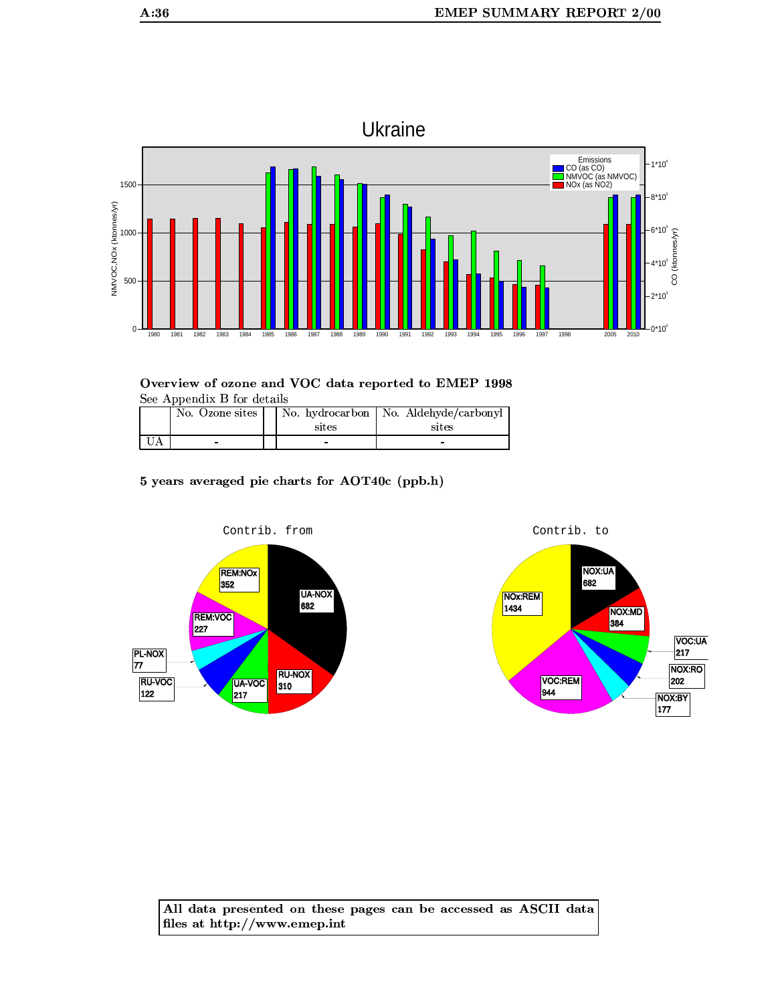

| No. Ozone sites | sites | No. hydrocarbon   No. Aldehyde/carbonyl<br>sites |
|-----------------|-------|--------------------------------------------------|
|                 |       |                                                  |

5 years averaged pie charts for AOT40c (ppb.h)



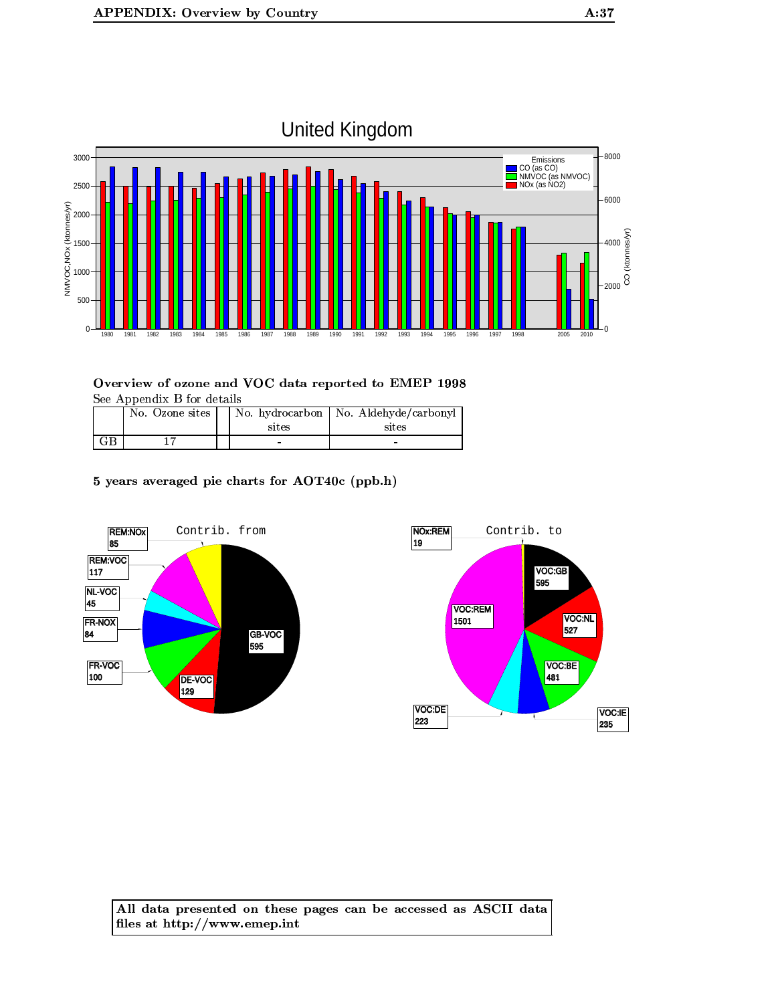

|    | No. Ozone sites | sites | No. hydrocarbon   No. Aldehyde/carbonyl<br>sites |
|----|-----------------|-------|--------------------------------------------------|
| GВ |                 |       | -                                                |

5 years averaged pie charts for AOT40c (ppb.h)